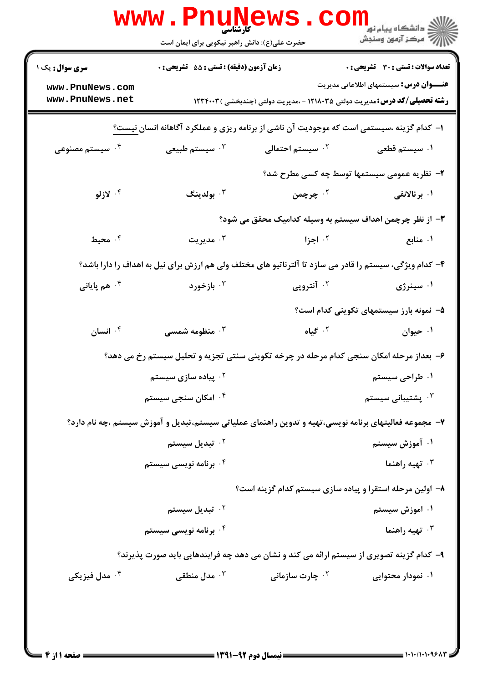|                                                                                          | <b>www.Pnunews</b><br>حضرت علی(ع): دانش راهبر نیکویی برای ایمان است |                                                                                                         | $\text{COM}_{\text{split}}$ دانشگاه پیام نور $\text{dist}$ |  |  |
|------------------------------------------------------------------------------------------|---------------------------------------------------------------------|---------------------------------------------------------------------------------------------------------|------------------------------------------------------------|--|--|
| <b>سری سوال :</b> یک ۱                                                                   | زمان آزمون (دقیقه) : تستی : 55 آتشریحی : 0                          |                                                                                                         | تعداد سوالات : تستي : 30 ٪ تشريحي : 0                      |  |  |
| www.PnuNews.com<br>www.PnuNews.net                                                       |                                                                     | <b>رشته تحصیلی/کد درس:</b> مدیریت دولتی ۱۲۱۸۰۳۵ - ،مدیریت دولتی (چندبخشی ) ۱۲۳۴۰۰۳                      | <b>عنــــوان درس:</b> سیستمهای اطلاعاتی مدیریت             |  |  |
| ا– کدام گزینه ،سیستمی است که موجودیت آن ناشی از برنامه ریزی و عملکرد آگاهانه انسان نیست؟ |                                                                     |                                                                                                         |                                                            |  |  |
| ۰ <sup>۴</sup> سیستم مصنوعی                                                              | ۰ <sup>۳</sup> سیستم طبیعی                                          | ۰ <sup>۲</sup> سیستم احتمالی                                                                            | ۰۱ سیستم قطعی                                              |  |  |
|                                                                                          |                                                                     |                                                                                                         | ۲- نظریه عمومی سیستمها توسط چه کسی مطرح شد؟                |  |  |
| ۰۴ لازلو                                                                                 | بولدينگ $\cdot^{\mathsf{y}}$                                        | ۰۲ چرچمن                                                                                                | ۰۱ برتالانفی                                               |  |  |
|                                                                                          |                                                                     | ۳– از نظر چرچمن اهداف سیستم به وسیله کدامیک محقق می شود؟                                                |                                                            |  |  |
| ۰۴ محیط                                                                                  | مديريت $\cdot$                                                      | ۰ <sup>۲</sup> اجزا                                                                                     | ۰۱ منابع                                                   |  |  |
|                                                                                          |                                                                     | ۴- کدام ویژگی، سیستم را قادر می سازد تا آلترناتیو های مختلف ولی هم ارزش برای نیل به اهداف را دارا باشد؟ |                                                            |  |  |
| ۰ <sup>۴</sup> هم پایانی                                                                 | ۰۳ بازخورد                                                          | ۰ <sup>۲</sup> آنتروپی                                                                                  | ۰۱ سینرژی                                                  |  |  |
|                                                                                          |                                                                     |                                                                                                         | ۵– نمونه بارز سیستمهای تکوینی کدام است؟                    |  |  |
| انسان $\cdot$ ۴                                                                          | شنطومه شمسی $\cdot$                                                 | ۰۲ گیاه                                                                                                 | ۰۱ حیوان                                                   |  |  |
|                                                                                          |                                                                     | ۶– بعداز مرحله امکان سنجی کدام مرحله در چرخه تکوینی سنتی تجزیه و تحلیل سیستم رخ می دهد؟                 |                                                            |  |  |
|                                                                                          | ۰ <sup>۲</sup> پیاده سازی سیستم                                     |                                                                                                         | ۰۱ طراحی سیستم                                             |  |  |
|                                                                                          | ۰ <sup>۴</sup> امکان سنجی سیستم                                     |                                                                                                         | شتیبانی سیستم $\cdot$                                      |  |  |
|                                                                                          |                                                                     | ۷–  مجموعه فعالیتهای برنامه نویسی،تهیه و تدوین راهنمای عملیاتی سیستم،تبدیل و آموزش سیستم ،چه نام دارد؟  |                                                            |  |  |
|                                                                                          | ۰ <sup>۲</sup> تبدیل سیستم                                          |                                                                                                         | ۰۱ آموزش سیستم                                             |  |  |
|                                                                                          | ۰۴ برنامه نویسی سیستم                                               |                                                                                                         | تهیه راهنما $\cdot^{\mathsf{r}}$                           |  |  |
|                                                                                          |                                                                     | ۸– اولین مرحله استقرا و پیاده سازی سیستم کدام گزینه است؟                                                |                                                            |  |  |
|                                                                                          | ۰ <sup>۲</sup> تبدیل سیستم                                          |                                                                                                         | ۰۱ اموزش سیستم                                             |  |  |
|                                                                                          | ۰۴ برنامه نویسی سیستم                                               |                                                                                                         | تهیه راهنما $\cdot^{\mathsf{r}}$                           |  |  |
|                                                                                          |                                                                     | ۹– کدام گزینه تصویری از سیستم ارائه می کند و نشان می دهد چه فرایندهایی باید صورت پذیرند؟                |                                                            |  |  |
| ۰ <sup>۴</sup> مدل فیزیکی                                                                | ن مدل منطقی $\cdot$                                                 | <b>10 چارت سازمانی 1</b>                                                                                | ۰۱ نمودار محتوایی                                          |  |  |
|                                                                                          |                                                                     |                                                                                                         |                                                            |  |  |
|                                                                                          |                                                                     |                                                                                                         |                                                            |  |  |
|                                                                                          |                                                                     | $1491 - 47$ and $11 - 12$                                                                               |                                                            |  |  |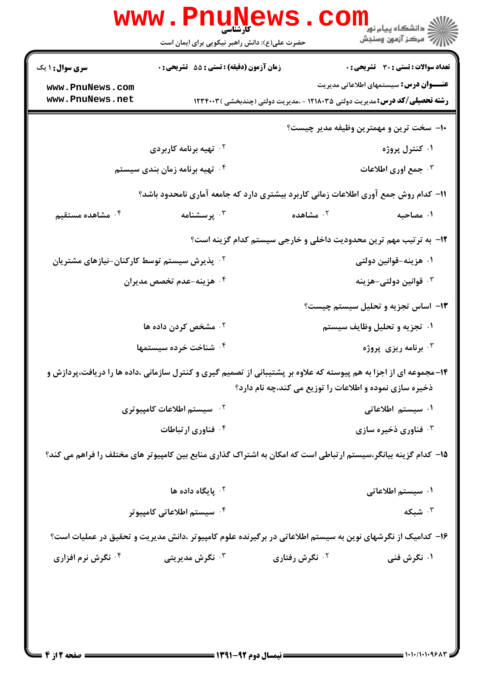|                                                                                                                   |                                  | ر دانشگاه پيام نور <mark>− ا</mark><br>ار <i>آهر کز</i> آزمون وسنجش                                                                                                                                                                                               |  |  |  |
|-------------------------------------------------------------------------------------------------------------------|----------------------------------|-------------------------------------------------------------------------------------------------------------------------------------------------------------------------------------------------------------------------------------------------------------------|--|--|--|
|                                                                                                                   |                                  |                                                                                                                                                                                                                                                                   |  |  |  |
|                                                                                                                   |                                  | <b>تعداد سوالات : تستی : 30 ٪ تشریحی : 0</b>                                                                                                                                                                                                                      |  |  |  |
|                                                                                                                   |                                  | <b>عنــــوان درس:</b> سیستمهای اطلاعاتی مدیریت                                                                                                                                                                                                                    |  |  |  |
|                                                                                                                   |                                  |                                                                                                                                                                                                                                                                   |  |  |  |
|                                                                                                                   |                                  | ∙۱− سخت ترین و مهمترین وظیفه مدیر چیست؟                                                                                                                                                                                                                           |  |  |  |
| ۰۲ تهیه برنامه کاربردی                                                                                            |                                  | ۰۱ کنترل پروژه                                                                                                                                                                                                                                                    |  |  |  |
| ۰۴ تهیه برنامه زمان بندی سیستم                                                                                    |                                  | جمع اوری اطلاعات $\cdot^{\mathtt{w}}$                                                                                                                                                                                                                             |  |  |  |
| 11– کدام روش جمع آوری اطلاعات زمانی کاربرد بیشتری دارد که جامعه آماری نامحدود باشد؟                               |                                  |                                                                                                                                                                                                                                                                   |  |  |  |
| برسشنامه $\cdot^{\mathsf{v}}$                                                                                     | مشاهده $\cdot$ $^{\circ}$        | ۰۱ مصاحبه                                                                                                                                                                                                                                                         |  |  |  |
| ۱۲- به ترتیب مهم ترین محدودیت داخلی و خارجی سیستم کدام گزینه است؟                                                 |                                  |                                                                                                                                                                                                                                                                   |  |  |  |
| ۰ <sup>۲</sup> پذیرش سیستم توسط کارکنان-نیازهای مشتریان                                                           |                                  | ۰۱ هزینه-قوانین دولتی                                                                                                                                                                                                                                             |  |  |  |
| ۰۴ هزینه-عدم ت <i>خصص</i> مدیران                                                                                  |                                  | قوانین دولتی-هزینه $\cdot$                                                                                                                                                                                                                                        |  |  |  |
|                                                                                                                   |                                  | ۱۳– اساس تجزیه و تحلیل سیستم چیست؟                                                                                                                                                                                                                                |  |  |  |
|                                                                                                                   |                                  | ۰۱ تجزیه و تحلیل وظایف سیستم                                                                                                                                                                                                                                      |  |  |  |
| ۰۴ شناخت خرده سیستمها                                                                                             |                                  | برنامه ریزی پروژه $\cdot^{\mathtt{w}}$                                                                                                                                                                                                                            |  |  |  |
| ۱۴- مجموعه ای از اجزا به هم پیوسته که علاوه بر پشتیبانی از تصمیم گیری و کنترل سازمانی ،داده ها را دریافت،پردازش و |                                  |                                                                                                                                                                                                                                                                   |  |  |  |
|                                                                                                                   |                                  |                                                                                                                                                                                                                                                                   |  |  |  |
| ۰ <sup>۲</sup> سیستم اطلاعات کامپیوتری                                                                            |                                  | ۰۱ سیستم اطلاعاتی                                                                                                                                                                                                                                                 |  |  |  |
| ۰ <sup>۴</sup> فناوری ارتباطات                                                                                    |                                  | فناوری ذخیره سازی $\cdot^{\mathsf{v}}$                                                                                                                                                                                                                            |  |  |  |
| ۱۵– کدام گزینه بیانگر،سیستم ارتباطی است که امکان به اشتراک گذاری منابع بین کامپیوتر های مختلف را فراهم می کند؟    |                                  |                                                                                                                                                                                                                                                                   |  |  |  |
|                                                                                                                   |                                  |                                                                                                                                                                                                                                                                   |  |  |  |
| ا پایگاه داده ها $\cdot$ ۲                                                                                        |                                  | ۰۱ سیستم اطلاعاتی                                                                                                                                                                                                                                                 |  |  |  |
| ۰ <sup>۴</sup> سیستم اطلاعاتی کامپیوتر                                                                            |                                  | ۰۳ شبکه                                                                                                                                                                                                                                                           |  |  |  |
| ۱۶– کدامیک از نگرشهای نوین به سیستم اطلاعاتی در برگیرنده علوم کامپیوتر ،دانش مدیریت و تحقیق در عملیات است؟        |                                  |                                                                                                                                                                                                                                                                   |  |  |  |
| ۰ <sup>۳</sup> نگرش مدیریتی                                                                                       | ۰ <sup>۲</sup> نگرش رفتاری       | ۰۱ نگرش فنی                                                                                                                                                                                                                                                       |  |  |  |
|                                                                                                                   |                                  |                                                                                                                                                                                                                                                                   |  |  |  |
|                                                                                                                   |                                  |                                                                                                                                                                                                                                                                   |  |  |  |
|                                                                                                                   |                                  |                                                                                                                                                                                                                                                                   |  |  |  |
|                                                                                                                   | ۰ <sup>۲</sup> مشخص کردن داده ها | <b>www.PnuNews</b><br>حضرت علی(ع): دانش راهبر نیکویی برای ایمان است<br>زمان آزمون (دقیقه) : تستی : 55 گشریحی : 0<br><b>رشته تحصیلی/کد درس:</b> مدیریت دولتی ۱۲۱۸۰۳۵ - ،مدیریت دولتی (چندبخشی ) ۱۲۳۴۰۰۳<br>ذخیره سازی نموده و اطلاعات را توزیع می کند،چه نام دارد؟ |  |  |  |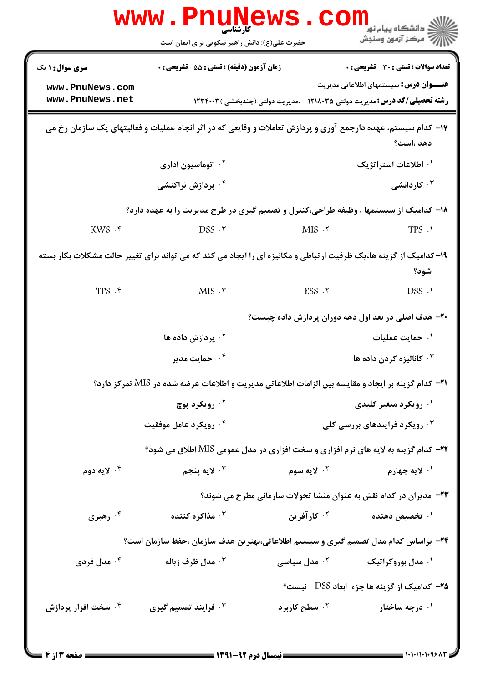|                                                                                                                            | <b>WWW . PNUN</b><br>کارشناسی<br>حضرت علی(ع): دانش راهبر نیکویی برای ایمان است                     | <b>ews.con</b>                                         | دانشگاه پیام نور<br>ر آمرڪز آزمون وسنڊش                                                                                              |  |  |
|----------------------------------------------------------------------------------------------------------------------------|----------------------------------------------------------------------------------------------------|--------------------------------------------------------|--------------------------------------------------------------------------------------------------------------------------------------|--|--|
| <b>سری سوال :</b> ۱ یک                                                                                                     | <b>زمان آزمون (دقیقه) : تستی : 55 تشریحی : 0</b>                                                   |                                                        | <b>تعداد سوالات : تستی : 30 ٪ تشریحی : 0</b>                                                                                         |  |  |
| www.PnuNews.com<br>www.PnuNews.net                                                                                         |                                                                                                    |                                                        | <b>عنــــوان درس:</b> سیستمهای اطلاعاتی مدیریت<br><b>رشته تحصیلی/کد درس:</b> مدیریت دولتی ۱۲۱۸۰۳۵ - ،مدیریت دولتی (چندبخشی ) ۱۲۳۴۰۰۳ |  |  |
| ۱۷– کدام سیستم، عهده دارجمع آوری و پردازش تعاملات و وقایعی که در اثر انجام عملیات و فعالیتهای یک سازمان رخ می<br>دهد ،است؟ |                                                                                                    |                                                        |                                                                                                                                      |  |  |
|                                                                                                                            | <b>10 اتوماسیون اداری</b>                                                                          |                                                        | ۰۱ اطلاعات استراتژیک                                                                                                                 |  |  |
|                                                                                                                            | ۰ <sup>۴</sup> پردازش تراکنشی                                                                      |                                                        | ۰ <sup>۳</sup> کاردانشی                                                                                                              |  |  |
| ۱۸- کدامیک از سیستمها ، وظیفه طراحی،کنترل و تصمیم گیری در طرح مدیریت را به عهده دارد؟                                      |                                                                                                    |                                                        |                                                                                                                                      |  |  |
| $KWS \cdot$ f                                                                                                              | $DSS$ . ۳                                                                                          | MIS.7                                                  | TPS .1                                                                                                                               |  |  |
| ۱۹- کدامیک از گزینه ها،یک ظرفیت ارتباطی و مکانیزه ای را ایجاد می کند که می تواند برای تغییر حالت مشکلات بکار بسته<br>شود؟  |                                                                                                    |                                                        |                                                                                                                                      |  |  |
| $TPS$ . ۴                                                                                                                  | $MIS$ . $\mathbf{r}$                                                                               | $ESS$ . $\tau$                                         | DSS .1                                                                                                                               |  |  |
|                                                                                                                            |                                                                                                    |                                                        | ۲۰– هدف اصلی در بعد اول دهه دوران پردازش داده چیست؟                                                                                  |  |  |
|                                                                                                                            | بردازش داده ها $\cdot$ ۲                                                                           |                                                        | ۰۱ حمایت عملیات                                                                                                                      |  |  |
|                                                                                                                            | ۰۴ حمایت مدیر                                                                                      |                                                        | ۰ <sup>۳</sup> کانالیزه کردن داده ها                                                                                                 |  |  |
|                                                                                                                            | 21− کدام گزینه بر ایجاد و مقایسه بین الزامات اطلاعاتی مدیریت و اطلاعات عرضه شده در MIS تمرکز دارد؟ |                                                        |                                                                                                                                      |  |  |
|                                                                                                                            | ۰ <sup>۲</sup> رویکرد پوچ                                                                          |                                                        | ۰۱ رویکرد متغیر کلیدی                                                                                                                |  |  |
|                                                                                                                            | ۰۴ رویکرد عامل موفقیت                                                                              | رویکرد فرایندهای بررسی کلی $\cdot^{\textsf{\tiny{T}}}$ |                                                                                                                                      |  |  |
|                                                                                                                            | <b>۲۲</b> - کدام گزینه به لایه های نرم افزاری و سخت افزاری در مدل عمومی MIS اطلاق می شود؟          |                                                        |                                                                                                                                      |  |  |
| ۰۴ لايه دوم                                                                                                                | ۰ <sup>۳</sup> لايه پنجم                                                                           | ۰ <sup>۲</sup> لايه سوم                                | ۰۱ لايه چهارم                                                                                                                        |  |  |
|                                                                                                                            |                                                                                                    |                                                        | ۲۳- مدیران در کدام نقش به عنوان منشا تحولات سازمانی مطرح می شوند؟                                                                    |  |  |
| رهبری $\cdot$ ۴ $\cdot$                                                                                                    | شاكره كننده $\cdot$ "                                                                              | ۰ <sup>۲</sup> کار آفرین                               | ۰۱ تخصیص دهنده                                                                                                                       |  |  |
|                                                                                                                            | ۲۴– براساس کدام مدل تصمیم گیری و سیستم اطلاعاتی،بهترین هدف سازمان ،حفظ سازمان است؟                 |                                                        |                                                                                                                                      |  |  |
| ۰۴ مدل فردی                                                                                                                | مدل ظرف زباله $\cdot$ "                                                                            | ۰ <sup>۲</sup> مدل سیاسی                               | ۰۱ مدل بوروکراتیک                                                                                                                    |  |  |
|                                                                                                                            |                                                                                                    |                                                        | <b>۲۵</b> – کدامیک از گزینه ها جزء ابعاد DSS   نیست؟                                                                                 |  |  |
| ۰۴ سخت افزار پردازش                                                                                                        | ۰ <sup>۳</sup> فرایند تصمیم گیری                                                                   | ۰ <sup>۲</sup> سطح کاربرد                              | ۰۱ درجه ساختار                                                                                                                       |  |  |
|                                                                                                                            |                                                                                                    |                                                        |                                                                                                                                      |  |  |